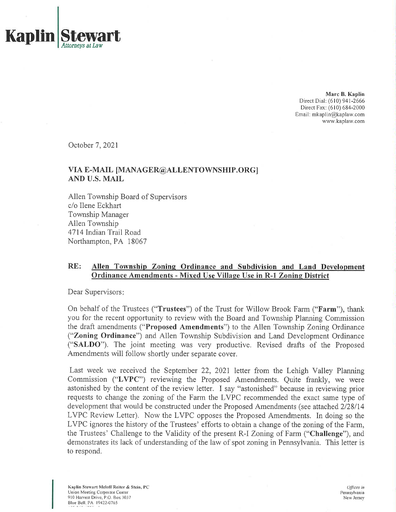

**Marc B. Kaplin** Direct Dial: (610) 941-2666 Direct Fax: (610) 684-2000 Email: mkaplin@kaplaw.com www.kaplaw.com

October 7, 2021

# **VIA E-MAIL [MANAGER@ALLENTOWNSHIP.ORG] AND U.S. MAIL**

Allen Township Board of Supervisors c/o Ilene Eckhart Township Manager Allen Township 4714 Indian Trail Road Northampton, PA 18067

#### **RE: Allen Township Zoning Ordinance and Subdivision and Land Development Ordinance Amendments - Mixed Use Village Use in R-l Zoning District**

Dear Supervisors:

On behalf of the Trustees ("Trustees") of the Trust for Willow Brook Farm ("Farm"), thank you for the recent opportunity to review with the Board and Township Planning Commission the draft amendments **("Proposed Amendments")** to the Allen Township Zoning Ordinance **("Zoning Ordinance")** and Allen Township Subdivision and Land Development Ordinance **("SALDO").** The joint meeting was very productive. Revised drafts of the Proposed Amendments will follow shortly under separate cover.

Last week we received the September 22, 2021 letter from the Lehigh Valley Planning Commission ("LVPC") reviewing the Proposed Amendments. Quite frankly, we were astonished by the content of the review letter. I say "astonished" because in reviewing prior requests to change the zoning of the Farm the LVPC recommended the exact same type of development that would be constructed under the Proposed Amendments (see attached 2/28/14 LVPC Review Letter). Now the LVPC opposes the Proposed Amendments. In doing so the LVPC ignores the history of the Trustees' efforts to obtain a change of the zoning of the Farm, the Trustees' Challenge to the Validity of the present R-I Zoning of Farm **("Challenge"),** and demonstrates its lack of understanding of the law of spot zoning in Pennsylvania. This letter is to respond.

Kaplin Stewart Meloff Reiter <& Stein, PC Union Meeting Corporate Center 910 Harvest Drive, P.O. Box 3037 Blue Bell. PA 19422-0765

*Offices in* Pennsylvania New Jersey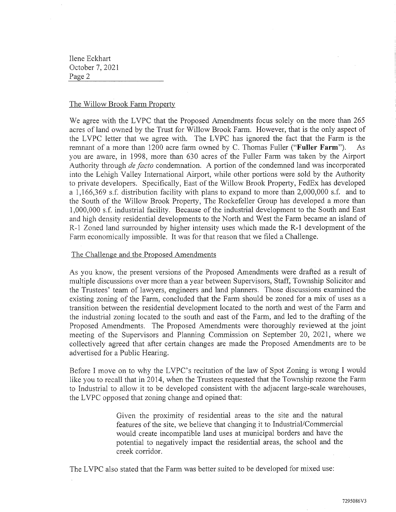## The Willow Brook Farm Property

We agree with the LVPC that the Proposed Amendments focus solely on the more than 265 acres of land owned by the Trust for Willow Brook Farm. However, that is the only aspec<sup>t</sup> of the LVPC letter that we agree with. The LVPC has ignored the fact that the Farm is the remnant of <sup>a</sup> more than <sup>1200</sup> acre farm owned by C. Thomas Fuller **("Fuller Farm").** As you are aware, in 1998, more than 630 acres of the Fuller Farm was taken by the Airport Authority through *de facto* condemnation. A portion of the condemned land was incorporated into the Lehigh Valley International Airport, while other portions were sold by the Authority to private developers. Specifically, East of the Willow Brook Property, FedEx has developed <sup>a</sup> 1,166,369 s.f. distribution facility with plans to expand to more than 2,000,000 s.f. and to the South of the Willow Brook Property, The Rockefeller Group has developed <sup>a</sup> more than 1,000,000 s.f. industrial facility. Because of the industrial development to the South and East and high density residential developments to the North and West the Farm became an island of R-l Zoned land surrounded by higher intensity uses which made the R-l development of the Farm economically impossible. It was for that reason that we filed <sup>a</sup> Challenge.

### The Challenge and the Proposed Amendments

As you know, the presen<sup>t</sup> versions of the Proposed Amendments were drafted as <sup>a</sup> result of multiple discussions over more than <sup>a</sup> year between Supervisors, Staff, Township Solicitor and the Trustees' team of lawyers, engineers and land <sup>p</sup>lanners. Those discussions examined the existing zoning of the Farm, concluded that the Farm should be zoned for <sup>a</sup> mix of uses as <sup>a</sup> transition between the residential development located to the north and west of the Farm and the industrial zoning located to the south and east of the Farm, and led to the drafting of the Proposed Amendments. The Proposed Amendments were thoroughly reviewed at the joint meeting of the Supervisors and Planning Commission on September 20, 2021, where we collectively agreed that after certain changes are made the Proposed Amendments are to be advertised for <sup>a</sup> Public Hearing.

Before I move on to why the LVPC'<sup>s</sup> recitation of the law of Spot Zoning is wrong I would like you to recall that in 2014, when the Trustees requested that the Township rezone the Farm to Industrial to allow it to be developed consistent with the adjacent large-scale warehouses, the LVPC opposed that zoning change and opined that:

> Given the proximity of residential areas to the site and the natural features of the site, we believe that changing it to Industrial/Commercial would create incompatible land uses at municipal borders and have the potential to negatively impact the residential areas, the school and the creek corridor.

The LVPC also stated that the Farm was better suited to be developed for mixed use: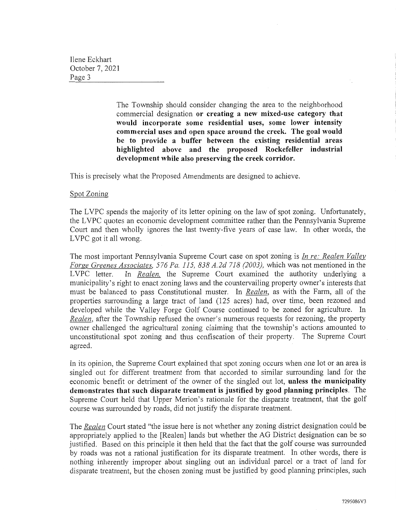> The Township should consider changing the area to the neighborhood commercial designation **or creating <sup>a</sup> new mixed-use category that would incorporate some residential uses, some lower intensity commercial uses and open space around the creek. The goal would be to provide <sup>a</sup> buffer between the existing residential areas highlighted above and the proposed Rockefeller industrial development while also preserving the creek corridor.**

This is precisely what the Proposed Amendments are designed to achieve.

#### Spot Zoning

The LVPC spends the majority of its letter opining on the law of spo<sup>t</sup> zoning. Unfortunately, the LVPC quotes an economic development committee rather than the Pennsylvania Supreme Court and then wholly ignores the last twenty-five years of case law. In other words, the LVPC go<sup>t</sup> it all wrong.

The most important Pennsylvania Supreme Court case on spo<sup>t</sup> zoning is *In re: Realen Valley Forge Greenes Associates, 576 Pa. 115, 838 A.2d 718 (2003),* which was not mentioned in the LVPC letter. In *Realen,* the Supreme Court examined the authority underlying <sup>a</sup> municipality'<sup>s</sup> right to enact zoning laws and the countervailing property owner'<sup>s</sup> interests that must be balanced to pass Constitutional muster. In *Realen,* as with the Farm, all of the properties surrounding <sup>a</sup> large tract of land (125 acres) had, over time, been rezoned and developed while the Valley Forge Golf Course continued to be zoned for agriculture. In *Realen,* after the Township refused the owner'<sup>s</sup> numerous requests for rezoning, the property owner challenged the agricultural zoning claiming that the township'<sup>s</sup> actions amounted to unconstitutional spo<sup>t</sup> zoning and thus confiscation of their property. The Supreme Court agreed.

In its opinion, the Supreme Court explained that spot zoning occurs when one lot or an area is singled out for different treatment from that accorded to similar surrounding land for the economic benefit or detriment of the owner of the singled out lot, **unless the municipality demonstrates that such disparate treatment is justified by good planning principles.** The Supreme Court held that Upper Merion's rationale for the disparate treatment, that the golf course was surrounded by roads, did not justify the disparate treatment.

The *Realen* Court stated "the issue here is not whether any zoning district designation could be appropriately applied to the [Realen] lands but whether the AG District designation can be so justified. Based on this principle it then held that the fact that the golf course was surrounded by roads was not <sup>a</sup> rational justification for its disparate treatment. In other words, there is nothing inherently improper about singling out an individual parcel or <sup>a</sup> tract of land for disparate treatment, but the chosen zoning must be justified by good planning principles, such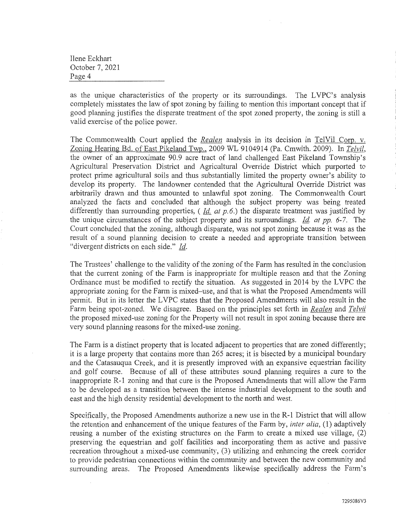as the unique characteristics of the property or its surroundings. The LVPC'<sup>s</sup> analysis completely misstates the law of spot zoning by failing to mention this important concept that if good planning justifies the disparate treatment of the spo<sup>t</sup> zoned property, the zoning is still <sup>a</sup> valid exercise of the police power.

The Commonwealth Court applied the *Realen* analysis in its decision in TelVil Corp, v. Zoning Hearing Bd. of East Pikeland Twp., 2009 WL 9104914 (Pa. Cmwlth. 2009). In *Telvil,* the owner of an approximate 90.9 acre tract of land challenged East Pikeland Township'<sup>s</sup> Agricultural Preservation District and Agricultural Override District which purported to protect prime agricultural soils and thus substantially limited the property owner'<sup>s</sup> ability to develop its property. The landowner contended that the Agricultural Override District was arbitrarily drawn and thus amounted to unlawful spo<sup>t</sup> zoning. The Commonwealth Court analyzed the facts and concluded that although the subject property was being treated differently than surrounding properties, (*Id at p.67)* the disparate treatment was justified by the unique circumstances of the subject property and its surroundings. *Id. at pp. 6-7.* The Court concluded that the zoning, although disparate, was not spo<sup>t</sup> zoning because it was as the result of <sup>a</sup> sound planning decision to create <sup>a</sup> needed and appropriate transition between "divergent districts on each side." *Id.*

The Trustees' challenge to the validity of the zoning of the Farm has resulted in the conclusion that the current zoning of the Farm is inappropriate for multiple reason and that the Zoning Ordinance must be modified to rectify the situation. As suggested in 2014 by the LVPC the appropriate zoning for the Farm is mixed-use, and that is what the Proposed Amendments will permit. But in its letter the LVPC states that the Proposed Amendments will also result in the Farm being spot-zoned. We disagree. Based on the principles set forth in *Realen* and *Telvil* the proposed mixed-use zoning for the Property will not result in spo<sup>t</sup> zoning because there are very sound planning reasons for the mixed-use zoning.

The Farm is <sup>a</sup> distinct property that is located adjacent to properties that are zoned differently; it is <sup>a</sup> large property that contains more than 265 acres; it is bisected by <sup>a</sup> municipal boundary and the Catasauqua Creek, and it is presently improved with an expansive equestrian facility and golf course. Because of all of these attributes sound planning requires <sup>a</sup> cure to the inappropriate R-l zoning and that cure is the Proposed Amendments that will allow the Farm to be developed as <sup>a</sup> transition between the intense industrial development to the south and east and the high density residential development to the north and west.

Specifically, the Proposed Amendments authorize <sup>a</sup> new use in the R-l District that will allow the retention and enhancement of the unique features of the Farm by, *inter alia*, (1) adaptively reusing <sup>a</sup> number of the existing structures on the Farm to create <sup>a</sup> mixed use village, (2) preserving the equestrian and golf facilities and incorporating them as active and passive recreation throughout <sup>a</sup> mixed-use community, (3) utilizing and enhancing the creek corridor to provide pedestrian connections within the community and between the new community and surrounding areas. The Proposed Amendments likewise specifically address the Farm'<sup>s</sup>